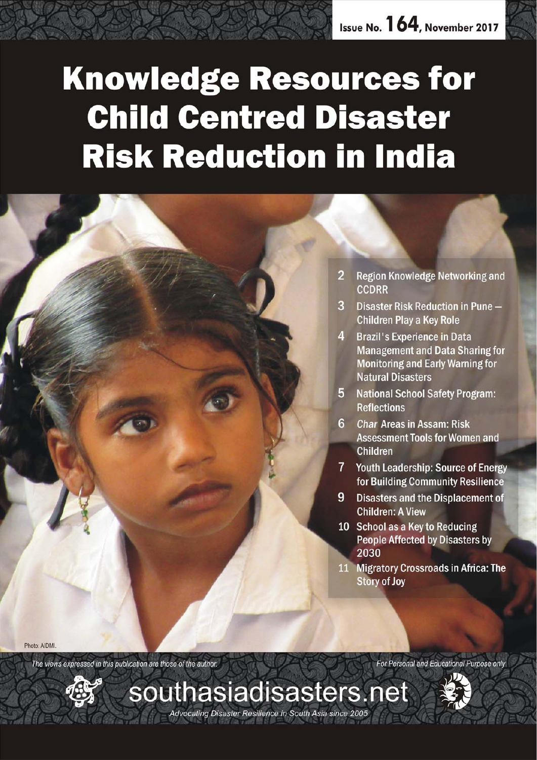# **Knowledge Resources for Child Centred Disaster Risk Reduction in India**

*November 2017 southasiadisasters.net 1*

Advocating Disaster Resilience in South Asia since 2005

 $\overline{2}$ **Region Knowledge Networking and CCDRR** 

- $\mathbf{R}$ Disaster Risk Reduction in Pune -**Children Play a Key Role**
- $\mathbf{A}$ **Brazil's Experience in Data Management and Data Sharing for Monitoring and Early Warning for Natural Disasters**
- 5. **National School Safety Program: Reflections**
- 6 Char Areas in Assam: Risk **Assessment Tools for Women and Children**
- $7<sup>1</sup>$ Youth Leadership: Source of Energy for Building Community Resilience
- 9 **Disasters and the Displacement of Children: A View**
- 10 School as a Key to Reducing **People Affected by Disasters by** 2030
- 11 Migratory Crossroads in Africa: The **Story of Joy**

Photo: AIDMI

The views expressed in this publication are those of the author.

For Personal and Educational Purpose only

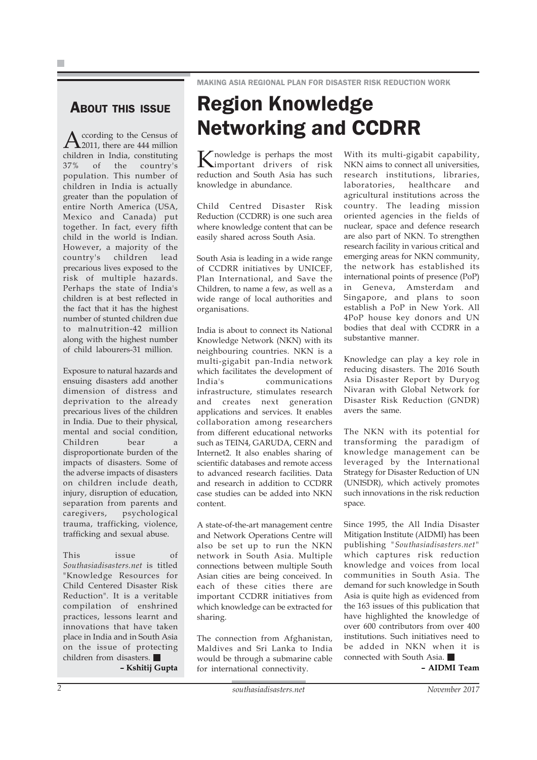#### MAKING ASIA REGIONAL PLAN FOR DISASTER RISK REDUCTION WORK

### ABOUT THIS ISSUE

According to the Census of<br>2011, there are 444 million children in India, constituting<br>37% of the country's of the country's population. This number of children in India is actually greater than the population of entire North America (USA, Mexico and Canada) put together. In fact, every fifth child in the world is Indian. However, a majority of the country's children lead precarious lives exposed to the risk of multiple hazards. Perhaps the state of India's children is at best reflected in the fact that it has the highest number of stunted children due to malnutrition-42 million along with the highest number of child labourers-31 million.

Exposure to natural hazards and ensuing disasters add another dimension of distress and deprivation to the already precarious lives of the children in India. Due to their physical, mental and social condition, Children bear a disproportionate burden of the impacts of disasters. Some of the adverse impacts of disasters on children include death, injury, disruption of education, separation from parents and caregivers, psychological trauma, trafficking, violence, trafficking and sexual abuse.

This issue of *Southasiadisasters.net* is titled "Knowledge Resources for Child Centered Disaster Risk Reduction". It is a veritable compilation of enshrined practices, lessons learnt and innovations that have taken place in India and in South Asia on the issue of protecting children from disasters.

**– Kshitij Gupta**

## Region Knowledge Networking and CCDRR

Knowledge is perhaps the most important drivers of risk reduction and South Asia has such knowledge in abundance.

Child Centred Disaster Risk Reduction (CCDRR) is one such area where knowledge content that can be easily shared across South Asia.

South Asia is leading in a wide range of CCDRR initiatives by UNICEF, Plan International, and Save the Children, to name a few, as well as a wide range of local authorities and organisations.

India is about to connect its National Knowledge Network (NKN) with its neighbouring countries. NKN is a multi-gigabit pan-India network which facilitates the development of India's communications infrastructure, stimulates research and creates next generation applications and services. It enables collaboration among researchers from different educational networks such as TEIN4, GARUDA, CERN and Internet2. It also enables sharing of scientific databases and remote access to advanced research facilities. Data and research in addition to CCDRR case studies can be added into NKN content.

A state-of-the-art management centre and Network Operations Centre will also be set up to run the NKN network in South Asia. Multiple connections between multiple South Asian cities are being conceived. In each of these cities there are important CCDRR initiatives from which knowledge can be extracted for sharing.

The connection from Afghanistan, Maldives and Sri Lanka to India would be through a submarine cable for international connectivity.

With its multi-gigabit capability, NKN aims to connect all universities, research institutions, libraries, laboratories, healthcare and agricultural institutions across the country. The leading mission oriented agencies in the fields of nuclear, space and defence research are also part of NKN. To strengthen research facility in various critical and emerging areas for NKN community, the network has established its international points of presence (PoP) in Geneva, Amsterdam and Singapore, and plans to soon establish a PoP in New York. All 4PoP house key donors and UN bodies that deal with CCDRR in a substantive manner.

Knowledge can play a key role in reducing disasters. The 2016 South Asia Disaster Report by Duryog Nivaran with Global Network for Disaster Risk Reduction (GNDR) avers the same.

The NKN with its potential for transforming the paradigm of knowledge management can be leveraged by the International Strategy for Disaster Reduction of UN (UNISDR), which actively promotes such innovations in the risk reduction space.

Since 1995, the All India Disaster Mitigation Institute (AIDMI) has been publishing *"Southasiadisasters.net"* which captures risk reduction knowledge and voices from local communities in South Asia. The demand for such knowledge in South Asia is quite high as evidenced from the 163 issues of this publication that have highlighted the knowledge of over 600 contributors from over 400 institutions. Such initiatives need to be added in NKN when it is connected with South Asia.

**– AIDMI Team**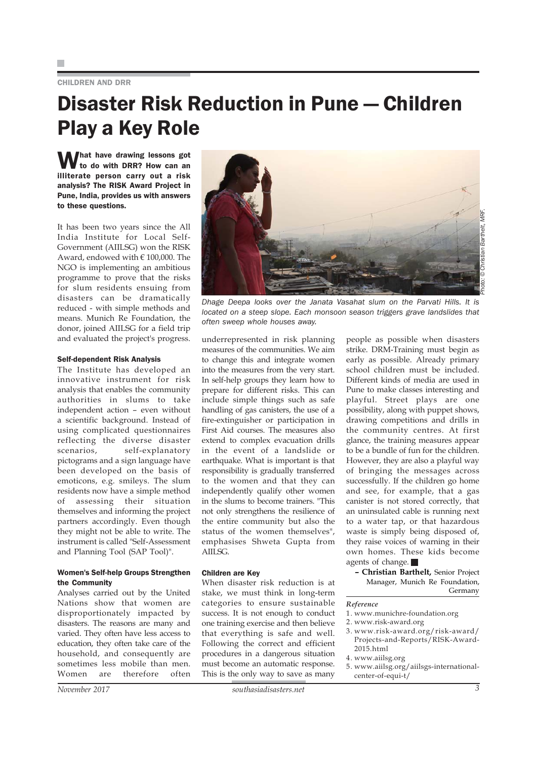#### CHILDREN AND DRR

### Disaster Risk Reduction in Pune — Children Play a Key Role

What have drawing lessons got<br>to do with DRR? How can an illiterate person carry out a risk analysis? The RISK Award Project in Pune, India, provides us with answers to these questions.

It has been two years since the All India Institute for Local Self-Government (AIILSG) won the RISK Award, endowed with € 100,000. The NGO is implementing an ambitious programme to prove that the risks for slum residents ensuing from disasters can be dramatically reduced - with simple methods and means. Munich Re Foundation, the donor, joined AIILSG for a field trip and evaluated the project's progress.

#### Self-dependent Risk Analysis

The Institute has developed an innovative instrument for risk analysis that enables the community authorities in slums to take independent action – even without a scientific background. Instead of using complicated questionnaires reflecting the diverse disaster scenarios, self-explanatory pictograms and a sign language have been developed on the basis of emoticons, e.g. smileys. The slum residents now have a simple method of assessing their situation themselves and informing the project partners accordingly. Even though they might not be able to write. The instrument is called "Self-Assessment and Planning Tool (SAP Tool)".

#### Women's Self-help Groups Strengthen the Community

Analyses carried out by the United Nations show that women are disproportionately impacted by disasters. The reasons are many and varied. They often have less access to education, they often take care of the household, and consequently are sometimes less mobile than men. Women are therefore often



*Dhage Deepa looks over the Janata Vasahat slum on the Parvati Hills. It is located on a steep slope. Each monsoon season triggers grave landslides that often sweep whole houses away.*

underrepresented in risk planning measures of the communities. We aim to change this and integrate women into the measures from the very start. In self-help groups they learn how to prepare for different risks. This can include simple things such as safe handling of gas canisters, the use of a fire-extinguisher or participation in First Aid courses. The measures also extend to complex evacuation drills in the event of a landslide or earthquake. What is important is that responsibility is gradually transferred to the women and that they can independently qualify other women in the slums to become trainers. "This not only strengthens the resilience of the entire community but also the status of the women themselves", emphasises Shweta Gupta from  $AIII$  SG.

#### Children are Key

When disaster risk reduction is at stake, we must think in long-term categories to ensure sustainable success. It is not enough to conduct one training exercise and then believe that everything is safe and well. Following the correct and efficient procedures in a dangerous situation must become an automatic response. This is the only way to save as many

people as possible when disasters strike. DRM-Training must begin as early as possible. Already primary school children must be included. Different kinds of media are used in Pune to make classes interesting and playful. Street plays are one possibility, along with puppet shows, drawing competitions and drills in the community centres. At first glance, the training measures appear to be a bundle of fun for the children. However, they are also a playful way of bringing the messages across successfully. If the children go home and see, for example, that a gas canister is not stored correctly, that an uninsulated cable is running next to a water tap, or that hazardous waste is simply being disposed of, they raise voices of warning in their own homes. These kids become agents of change.

**– Christian Barthelt,** Senior Project Manager, Munich Re Foundation, Germany

#### *Reference*

- 1. www.munichre-foundation.org
- 2. www.risk-award.org
- 3. www.risk-award.org/risk-award/ Projects-and-Reports/RISK-Award-2015.html
- 4. www.aiilsg.org
- 5. www.aiilsg.org/aiilsgs-internationalcenter-of-equi-t/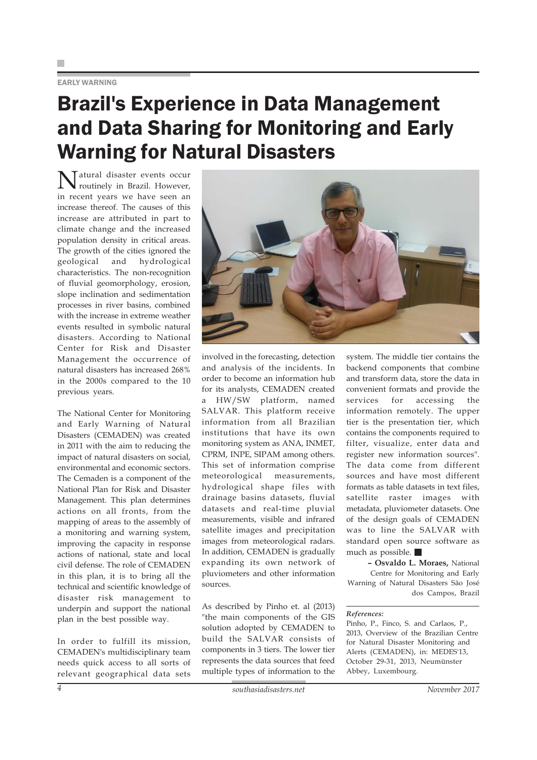#### EARLY WARNING

### Brazil's Experience in Data Management and Data Sharing for Monitoring and Early Warning for Natural Disasters

Natural disaster events occur routinely in Brazil. However, in recent years we have seen an increase thereof. The causes of this increase are attributed in part to climate change and the increased population density in critical areas. The growth of the cities ignored the geological and hydrological characteristics. The non-recognition of fluvial geomorphology, erosion, slope inclination and sedimentation processes in river basins, combined with the increase in extreme weather events resulted in symbolic natural disasters. According to National Center for Risk and Disaster Management the occurrence of natural disasters has increased 268% in the 2000s compared to the 10 previous years.

The National Center for Monitoring and Early Warning of Natural Disasters (CEMADEN) was created in 2011 with the aim to reducing the impact of natural disasters on social, environmental and economic sectors. The Cemaden is a component of the National Plan for Risk and Disaster Management. This plan determines actions on all fronts, from the mapping of areas to the assembly of a monitoring and warning system, improving the capacity in response actions of national, state and local civil defense. The role of CEMADEN in this plan, it is to bring all the technical and scientific knowledge of disaster risk management to underpin and support the national plan in the best possible way.

In order to fulfill its mission, CEMADEN's multidisciplinary team needs quick access to all sorts of relevant geographical data sets



involved in the forecasting, detection and analysis of the incidents. In order to become an information hub for its analysts, CEMADEN created a HW/SW platform, named SALVAR. This platform receive information from all Brazilian institutions that have its own monitoring system as ANA, INMET, CPRM, INPE, SIPAM among others. This set of information comprise meteorological measurements, hydrological shape files with drainage basins datasets, fluvial datasets and real-time pluvial measurements, visible and infrared satellite images and precipitation images from meteorological radars. In addition, CEMADEN is gradually expanding its own network of pluviometers and other information sources.

As described by Pinho et. al (2013) "the main components of the GIS solution adopted by CEMADEN to build the SALVAR consists of components in 3 tiers. The lower tier represents the data sources that feed multiple types of information to the system. The middle tier contains the backend components that combine and transform data, store the data in convenient formats and provide the services for accessing the information remotely. The upper tier is the presentation tier, which contains the components required to filter, visualize, enter data and register new information sources". The data come from different sources and have most different formats as table datasets in text files, satellite raster images with metadata, pluviometer datasets. One of the design goals of CEMADEN was to line the SALVAR with standard open source software as much as possible.

**– Osvaldo L. Moraes,** National Centre for Monitoring and Early Warning of Natural Disasters São José dos Campos, Brazil

#### *References:*

Pinho, P., Finco, S. and Carlaos, P., 2013, Overview of the Brazilian Centre for Natural Disaster Monitoring and Alerts (CEMADEN), in: MEDES'13, October 29-31, 2013, Neumünster Abbey, Luxembourg.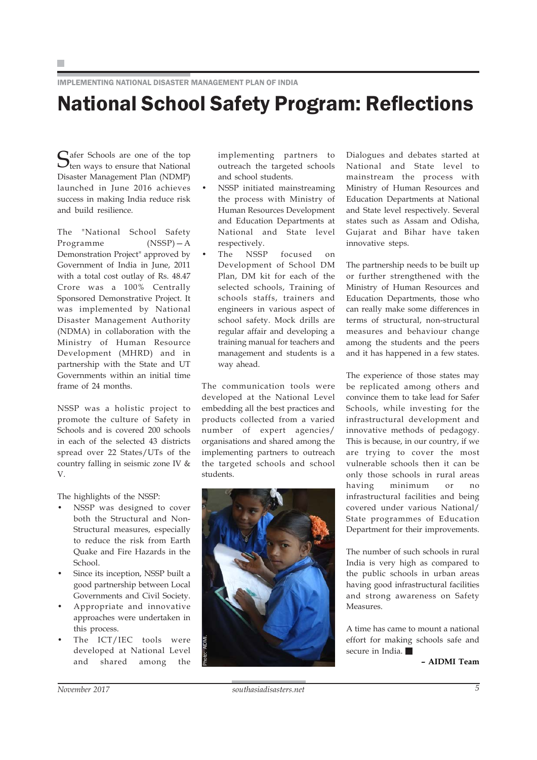IMPLEMENTING NATIONAL DISASTER MANAGEMENT PLAN OF INDIA

### National School Safety Program: Reflections

Safer Schools are one of the top<br>Sten ways to ensure that National Disaster Management Plan (NDMP) launched in June 2016 achieves success in making India reduce risk and build resilience.

The "National School Safety Programme (NSSP)—A Demonstration Project" approved by Government of India in June, 2011 with a total cost outlay of Rs. 48.47 Crore was a 100% Centrally Sponsored Demonstrative Project. It was implemented by National Disaster Management Authority (NDMA) in collaboration with the Ministry of Human Resource Development (MHRD) and in partnership with the State and UT Governments within an initial time frame of 24 months.

NSSP was a holistic project to promote the culture of Safety in Schools and is covered 200 schools in each of the selected 43 districts spread over 22 States/UTs of the country falling in seismic zone IV & V.

The highlights of the NSSP:

- NSSP was designed to cover both the Structural and Non-Structural measures, especially to reduce the risk from Earth Quake and Fire Hazards in the School.
- Since its inception, NSSP built a good partnership between Local Governments and Civil Society.
- Appropriate and innovative approaches were undertaken in this process.
- The ICT/IEC tools were developed at National Level and shared among the

implementing partners to outreach the targeted schools and school students.

- NSSP initiated mainstreaming the process with Ministry of Human Resources Development and Education Departments at National and State level respectively.
- The NSSP focused on Development of School DM Plan, DM kit for each of the selected schools, Training of schools staffs, trainers and engineers in various aspect of school safety. Mock drills are regular affair and developing a training manual for teachers and management and students is a way ahead.

The communication tools were developed at the National Level embedding all the best practices and products collected from a varied number of expert agencies/ organisations and shared among the implementing partners to outreach the targeted schools and school students.



Dialogues and debates started at National and State level to mainstream the process with Ministry of Human Resources and Education Departments at National and State level respectively. Several states such as Assam and Odisha, Gujarat and Bihar have taken innovative steps.

The partnership needs to be built up or further strengthened with the Ministry of Human Resources and Education Departments, those who can really make some differences in terms of structural, non-structural measures and behaviour change among the students and the peers and it has happened in a few states.

The experience of those states may be replicated among others and convince them to take lead for Safer Schools, while investing for the infrastructural development and innovative methods of pedagogy. This is because, in our country, if we are trying to cover the most vulnerable schools then it can be only those schools in rural areas having minimum or no infrastructural facilities and being covered under various National/ State programmes of Education Department for their improvements.

The number of such schools in rural India is very high as compared to the public schools in urban areas having good infrastructural facilities and strong awareness on Safety Measures.

A time has came to mount a national effort for making schools safe and secure in India.

**– AIDMI Team**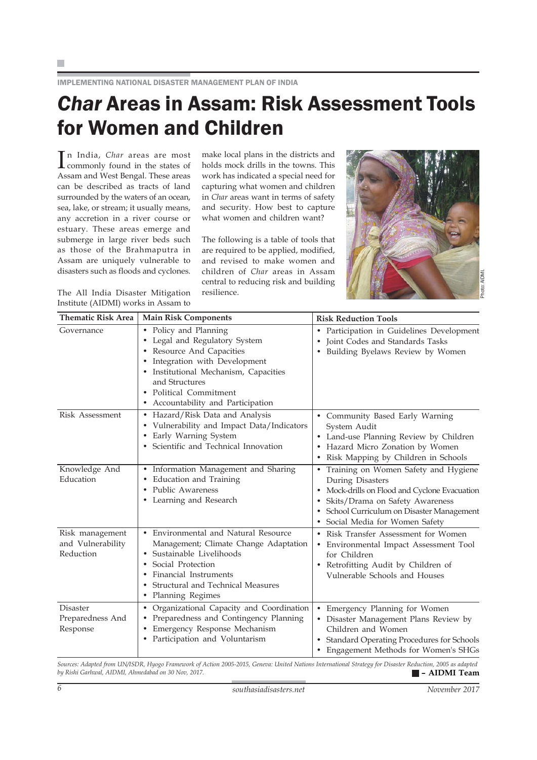F

IMPLEMENTING NATIONAL DISASTER MANAGEMENT PLAN OF INDIA

### *Char* Areas in Assam: Risk Assessment Tools for Women and Children

In India, *Char* areas are most<br>commonly found in the states of commonly found in the states of Assam and West Bengal. These areas can be described as tracts of land surrounded by the waters of an ocean, sea, lake, or stream; it usually means, any accretion in a river course or estuary. These areas emerge and submerge in large river beds such as those of the Brahmaputra in Assam are uniquely vulnerable to disasters such as floods and cyclones.

The All India Disaster Mitigation Institute (AIDMI) works in Assam to make local plans in the districts and holds mock drills in the towns. This work has indicated a special need for capturing what women and children in *Char* areas want in terms of safety and security. How best to capture what women and children want?

The following is a table of tools that are required to be applied, modified, and revised to make women and children of *Char* areas in Assam central to reducing risk and building resilience.



| <b>Thematic Risk Area</b>                         | <b>Main Risk Components</b>                                                                                                                                                                                                                  | <b>Risk Reduction Tools</b>                                                                                                                                                                                                          |
|---------------------------------------------------|----------------------------------------------------------------------------------------------------------------------------------------------------------------------------------------------------------------------------------------------|--------------------------------------------------------------------------------------------------------------------------------------------------------------------------------------------------------------------------------------|
| Governance                                        | • Policy and Planning<br>• Legal and Regulatory System<br>Resource And Capacities<br>Integration with Development<br>• Institutional Mechanism, Capacities<br>and Structures<br>• Political Commitment<br>• Accountability and Participation | Participation in Guidelines Development<br>$\bullet$<br>Joint Codes and Standards Tasks<br>Building Byelaws Review by Women                                                                                                          |
| <b>Risk Assessment</b>                            | • Hazard/Risk Data and Analysis<br>Vulnerability and Impact Data/Indicators<br>$\bullet$<br>Early Warning System<br>$\bullet$<br>Scientific and Technical Innovation                                                                         | Community Based Early Warning<br>System Audit<br>Land-use Planning Review by Children<br>Hazard Micro Zonation by Women<br>Risk Mapping by Children in Schools                                                                       |
| Knowledge And<br>Education                        | Information Management and Sharing<br>$\bullet$<br>Education and Training<br>$\bullet$<br>Public Awareness<br>$\bullet$<br>• Learning and Research                                                                                           | Training on Women Safety and Hygiene<br>$\bullet$<br>During Disasters<br>Mock-drills on Flood and Cyclone Evacuation<br>Skits/Drama on Safety Awareness<br>School Curriculum on Disaster Management<br>Social Media for Women Safety |
| Risk management<br>and Vulnerability<br>Reduction | Environmental and Natural Resource<br>Management; Climate Change Adaptation<br>Sustainable Livelihoods<br>Social Protection<br>Financial Instruments<br>Structural and Technical Measures<br>$\bullet$<br>Planning Regimes<br>٠              | Risk Transfer Assessment for Women<br>Environmental Impact Assessment Tool<br>for Children<br>Retrofitting Audit by Children of<br>Vulnerable Schools and Houses                                                                     |
| Disaster<br>Preparedness And<br>Response          | Organizational Capacity and Coordination<br>$\bullet$<br>Preparedness and Contingency Planning<br>Emergency Response Mechanism<br>Participation and Voluntarism<br>$\bullet$                                                                 | Emergency Planning for Women<br>Disaster Management Plans Review by<br>Children and Women<br><b>Standard Operating Procedures for Schools</b><br>Engagement Methods for Women's SHGs                                                 |

*Sources: Adapted from UN/ISDR, Hyogo Framework of Action 2005-2015, Geneva: United Nations International Strategy for Disaster Reduction, 2005 as adapted*  $b$ y Rishi Garhwal, AIDMI, Ahmedabad on 30 Nov, 2017.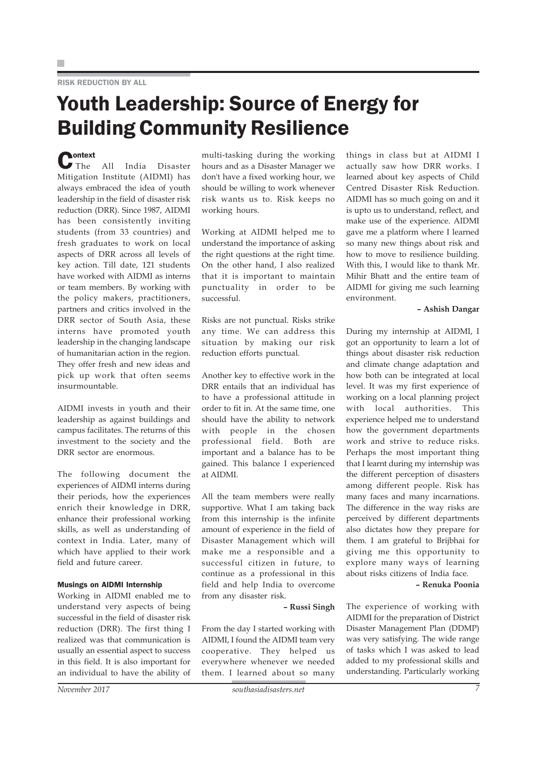#### RISK REDUCTION BY ALL

### Youth Leadership: Source of Energy for Building Community Resilience

**C**ontext All India Disaster Mitigation Institute (AIDMI) has always embraced the idea of youth leadership in the field of disaster risk reduction (DRR). Since 1987, AIDMI has been consistently inviting students (from 33 countries) and fresh graduates to work on local aspects of DRR across all levels of key action. Till date, 121 students have worked with AIDMI as interns or team members. By working with the policy makers, practitioners, partners and critics involved in the DRR sector of South Asia, these interns have promoted youth leadership in the changing landscape of humanitarian action in the region. They offer fresh and new ideas and pick up work that often seems insurmountable.

AIDMI invests in youth and their leadership as against buildings and campus facilitates. The returns of this investment to the society and the DRR sector are enormous.

The following document the experiences of AIDMI interns during their periods, how the experiences enrich their knowledge in DRR, enhance their professional working skills, as well as understanding of context in India. Later, many of which have applied to their work field and future career.

#### Musings on AIDMI Internship

Working in AIDMI enabled me to understand very aspects of being successful in the field of disaster risk reduction (DRR). The first thing I realized was that communication is usually an essential aspect to success in this field. It is also important for an individual to have the ability of multi-tasking during the working hours and as a Disaster Manager we don't have a fixed working hour, we should be willing to work whenever risk wants us to. Risk keeps no working hours.

Working at AIDMI helped me to understand the importance of asking the right questions at the right time. On the other hand, I also realized that it is important to maintain punctuality in order to be successful.

Risks are not punctual. Risks strike any time. We can address this situation by making our risk reduction efforts punctual.

Another key to effective work in the DRR entails that an individual has to have a professional attitude in order to fit in. At the same time, one should have the ability to network with people in the chosen professional field. Both are important and a balance has to be gained. This balance I experienced at AIDMI.

All the team members were really supportive. What I am taking back from this internship is the infinite amount of experience in the field of Disaster Management which will make me a responsible and a successful citizen in future, to continue as a professional in this field and help India to overcome from any disaster risk.

**– Russi Singh**

From the day I started working with AIDMI, I found the AIDMI team very cooperative. They helped us everywhere whenever we needed them. I learned about so many

things in class but at AIDMI I actually saw how DRR works. I learned about key aspects of Child Centred Disaster Risk Reduction. AIDMI has so much going on and it is upto us to understand, reflect, and make use of the experience. AIDMI gave me a platform where I learned so many new things about risk and how to move to resilience building. With this, I would like to thank Mr. Mihir Bhatt and the entire team of AIDMI for giving me such learning environment.

#### **– Ashish Dangar**

During my internship at AIDMI, I got an opportunity to learn a lot of things about disaster risk reduction and climate change adaptation and how both can be integrated at local level. It was my first experience of working on a local planning project with local authorities. This experience helped me to understand how the government departments work and strive to reduce risks. Perhaps the most important thing that I learnt during my internship was the different perception of disasters among different people. Risk has many faces and many incarnations. The difference in the way risks are perceived by different departments also dictates how they prepare for them. I am grateful to Brijbhai for giving me this opportunity to explore many ways of learning about risks citizens of India face.

**– Renuka Poonia**

The experience of working with AIDMI for the preparation of District Disaster Management Plan (DDMP) was very satisfying. The wide range of tasks which I was asked to lead added to my professional skills and understanding. Particularly working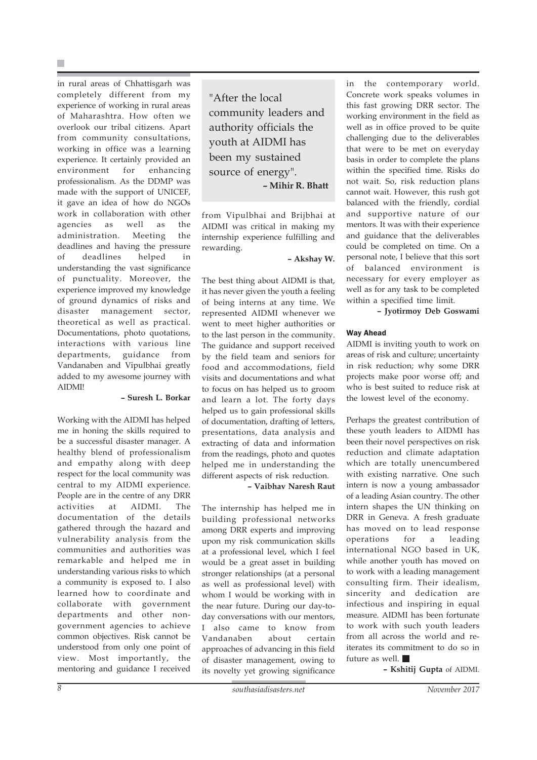in rural areas of Chhattisgarh was completely different from my experience of working in rural areas of Maharashtra. How often we overlook our tribal citizens. Apart from community consultations, working in office was a learning experience. It certainly provided an environment for enhancing professionalism. As the DDMP was made with the support of UNICEF, it gave an idea of how do NGOs work in collaboration with other agencies as well as the administration. Meeting the deadlines and having the pressure of deadlines helped in understanding the vast significance of punctuality. Moreover, the experience improved my knowledge of ground dynamics of risks and disaster management sector, theoretical as well as practical. Documentations, photo quotations, interactions with various line departments, guidance from Vandanaben and Vipulbhai greatly added to my awesome journey with AIDMI!

#### **– Suresh L. Borkar**

Working with the AIDMI has helped me in honing the skills required to be a successful disaster manager. A healthy blend of professionalism and empathy along with deep respect for the local community was central to my AIDMI experience. People are in the centre of any DRR activities at AIDMI. The documentation of the details gathered through the hazard and vulnerability analysis from the communities and authorities was remarkable and helped me in understanding various risks to which a community is exposed to. I also learned how to coordinate and collaborate with government departments and other nongovernment agencies to achieve common objectives. Risk cannot be understood from only one point of view. Most importantly, the mentoring and guidance I received

"After the local community leaders and authority officials the youth at AIDMI has been my sustained source of energy". **– Mihir R. Bhatt**

from Vipulbhai and Brijbhai at AIDMI was critical in making my internship experience fulfilling and rewarding.

**– Akshay W.**

The best thing about AIDMI is that, it has never given the youth a feeling of being interns at any time. We represented AIDMI whenever we went to meet higher authorities or to the last person in the community. The guidance and support received by the field team and seniors for food and accommodations, field visits and documentations and what to focus on has helped us to groom and learn a lot. The forty days helped us to gain professional skills of documentation, drafting of letters, presentations, data analysis and extracting of data and information from the readings, photo and quotes helped me in understanding the different aspects of risk reduction.

**– Vaibhav Naresh Raut**

The internship has helped me in building professional networks among DRR experts and improving upon my risk communication skills at a professional level, which I feel would be a great asset in building stronger relationships (at a personal as well as professional level) with whom I would be working with in the near future. During our day-today conversations with our mentors, I also came to know from Vandanaben about certain approaches of advancing in this field of disaster management, owing to its novelty yet growing significance

in the contemporary world. Concrete work speaks volumes in this fast growing DRR sector. The working environment in the field as well as in office proved to be quite challenging due to the deliverables that were to be met on everyday basis in order to complete the plans within the specified time. Risks do not wait. So, risk reduction plans cannot wait. However, this rush got balanced with the friendly, cordial and supportive nature of our mentors. It was with their experience and guidance that the deliverables could be completed on time. On a personal note, I believe that this sort of balanced environment is necessary for every employer as well as for any task to be completed within a specified time limit.

**– Jyotirmoy Deb Goswami**

#### Way Ahead

AIDMI is inviting youth to work on areas of risk and culture; uncertainty in risk reduction; why some DRR projects make poor worse off; and who is best suited to reduce risk at the lowest level of the economy.

Perhaps the greatest contribution of these youth leaders to AIDMI has been their novel perspectives on risk reduction and climate adaptation which are totally unencumbered with existing narrative. One such intern is now a young ambassador of a leading Asian country. The other intern shapes the UN thinking on DRR in Geneva. A fresh graduate has moved on to lead response operations for a leading international NGO based in UK, while another youth has moved on to work with a leading management consulting firm. Their idealism, sincerity and dedication are infectious and inspiring in equal measure. AIDMI has been fortunate to work with such youth leaders from all across the world and reiterates its commitment to do so in future as well.

**– Kshitij Gupta** of AIDMI.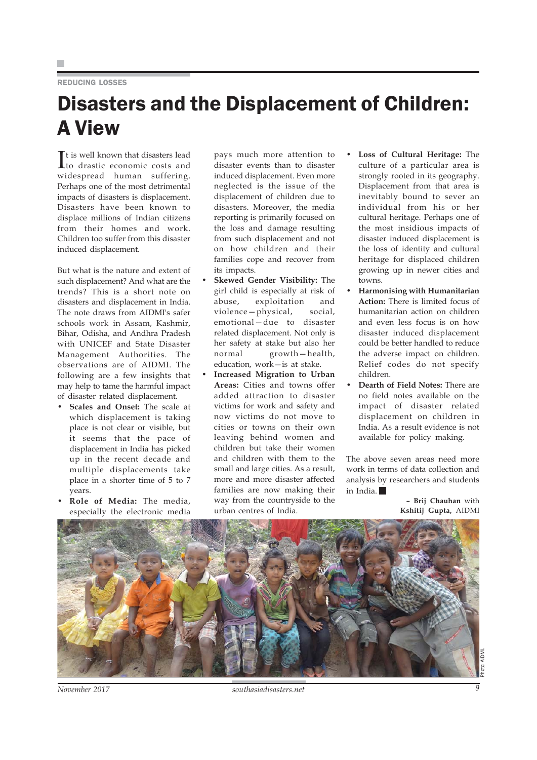#### REDUCING LOSSES

### Disasters and the Displacement of Children: A View

It is well known that disasters lead<br>to drastic economic costs and to drastic economic costs and widespread human suffering. Perhaps one of the most detrimental impacts of disasters is displacement. Disasters have been known to displace millions of Indian citizens from their homes and work. Children too suffer from this disaster induced displacement.

But what is the nature and extent of such displacement? And what are the trends? This is a short note on disasters and displacement in India. The note draws from AIDMI's safer schools work in Assam, Kashmir, Bihar, Odisha, and Andhra Pradesh with UNICEF and State Disaster Management Authorities. The observations are of AIDMI. The following are a few insights that may help to tame the harmful impact of disaster related displacement.

- **Scales and Onset:** The scale at which displacement is taking place is not clear or visible, but it seems that the pace of displacement in India has picked up in the recent decade and multiple displacements take place in a shorter time of 5 to 7 years.
- **Role of Media:** The media, especially the electronic media

pays much more attention to disaster events than to disaster induced displacement. Even more neglected is the issue of the displacement of children due to disasters. Moreover, the media reporting is primarily focused on the loss and damage resulting from such displacement and not on how children and their families cope and recover from its impacts.

- **Skewed Gender Visibility:** The girl child is especially at risk of abuse, exploitation and violence—physical, social, emotional—due to disaster related displacement. Not only is her safety at stake but also her normal growth—health, education, work—is at stake.
- **Increased Migration to Urban Areas:** Cities and towns offer added attraction to disaster victims for work and safety and now victims do not move to cities or towns on their own leaving behind women and children but take their women and children with them to the small and large cities. As a result, more and more disaster affected families are now making their way from the countryside to the urban centres of India.
- **Loss of Cultural Heritage:** The culture of a particular area is strongly rooted in its geography. Displacement from that area is inevitably bound to sever an individual from his or her cultural heritage. Perhaps one of the most insidious impacts of disaster induced displacement is the loss of identity and cultural heritage for displaced children growing up in newer cities and towns.
- **Harmonising with Humanitarian Action:** There is limited focus of humanitarian action on children and even less focus is on how disaster induced displacement could be better handled to reduce the adverse impact on children. Relief codes do not specify children.
- **Dearth of Field Notes:** There are no field notes available on the impact of disaster related displacement on children in India. As a result evidence is not available for policy making.

The above seven areas need more work in terms of data collection and analysis by researchers and students in India.

> **– Brij Chauhan** with **Kshitij Gupta,** AIDMI



*November 2017 southasiadisasters.net 9*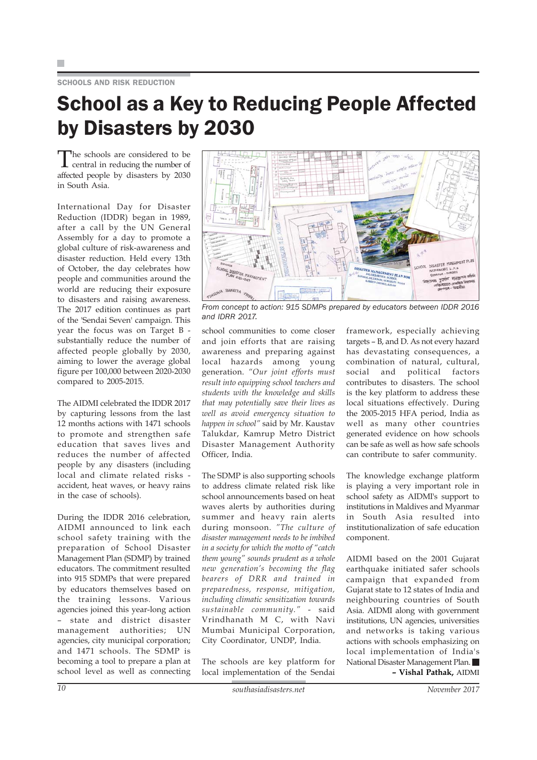SCHOOLS AND RISK REDUCTION

### School as a Key to Reducing People Affected by Disasters by 2030

The schools are considered to be central in reducing the number of affected people by disasters by 2030 in South Asia.

International Day for Disaster Reduction (IDDR) began in 1989, after a call by the UN General Assembly for a day to promote a global culture of risk-awareness and disaster reduction. Held every 13th of October, the day celebrates how people and communities around the world are reducing their exposure to disasters and raising awareness. The 2017 edition continues as part of the 'Sendai Seven' campaign. This year the focus was on Target B substantially reduce the number of affected people globally by 2030, aiming to lower the average global figure per 100,000 between 2020-2030 compared to 2005-2015.

The AIDMI celebrated the IDDR 2017 by capturing lessons from the last 12 months actions with 1471 schools to promote and strengthen safe education that saves lives and reduces the number of affected people by any disasters (including local and climate related risks accident, heat waves, or heavy rains in the case of schools).

During the IDDR 2016 celebration, AIDMI announced to link each school safety training with the preparation of School Disaster Management Plan (SDMP) by trained educators. The commitment resulted into 915 SDMPs that were prepared by educators themselves based on the training lessons. Various agencies joined this year-long action – state and district disaster management authorities; UN agencies, city municipal corporation; and 1471 schools. The SDMP is becoming a tool to prepare a plan at school level as well as connecting



*From concept to action: 915 SDMPs prepared by educators between IDDR 2016 and IDRR 2017.*

school communities to come closer and join efforts that are raising awareness and preparing against local hazards among young generation. *"Our joint efforts must result into equipping school teachers and students with the knowledge and skills that may potentially save their lives as well as avoid emergency situation to happen in school"* said by Mr. Kaustav Talukdar, Kamrup Metro District Disaster Management Authority Officer, India.

The SDMP is also supporting schools to address climate related risk like school announcements based on heat waves alerts by authorities during summer and heavy rain alerts during monsoon. *"The culture of disaster management needs to be imbibed in a society for which the motto of "catch them young" sounds prudent as a whole new generation's becoming the flag bearers of DRR and trained in preparedness, response, mitigation, including climatic sensitization towards sustainable community."* - said Vrindhanath M C, with Navi Mumbai Municipal Corporation, City Coordinator, UNDP, India.

The schools are key platform for local implementation of the Sendai

framework, especially achieving targets – B, and D. As not every hazard has devastating consequences, a combination of natural, cultural, social and political factors contributes to disasters. The school is the key platform to address these local situations effectively. During the 2005-2015 HFA period, India as well as many other countries generated evidence on how schools can be safe as well as how safe schools can contribute to safer community.

The knowledge exchange platform is playing a very important role in school safety as AIDMI's support to institutions in Maldives and Myanmar in South Asia resulted into institutionalization of safe education component.

AIDMI based on the 2001 Gujarat earthquake initiated safer schools campaign that expanded from Gujarat state to 12 states of India and neighbouring countries of South Asia. AIDMI along with government institutions, UN agencies, universities and networks is taking various actions with schools emphasizing on local implementation of India's National Disaster Management Plan. **– Vishal Pathak,** AIDMI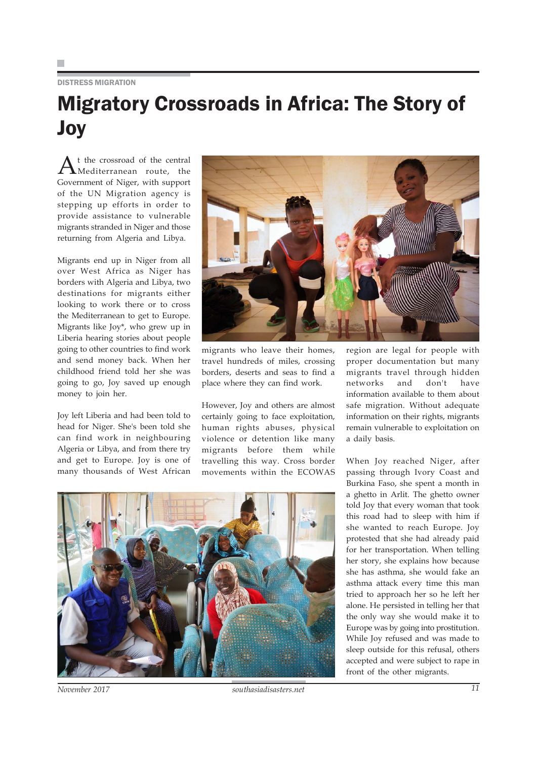#### DISTRESS MIGRATION

### Migratory Crossroads in Africa: The Story of Joy

A<sup>t the</sup> crossroad of the central<br>Mediterranean route, the Government of Niger, with support of the UN Migration agency is stepping up efforts in order to provide assistance to vulnerable migrants stranded in Niger and those returning from Algeria and Libya.

Migrants end up in Niger from all over West Africa as Niger has borders with Algeria and Libya, two destinations for migrants either looking to work there or to cross the Mediterranean to get to Europe. Migrants like Joy\*, who grew up in Liberia hearing stories about people going to other countries to find work and send money back. When her childhood friend told her she was going to go, Joy saved up enough money to join her.

Joy left Liberia and had been told to head for Niger. She's been told she can find work in neighbouring Algeria or Libya, and from there try and get to Europe. Joy is one of many thousands of West African



migrants who leave their homes, travel hundreds of miles, crossing borders, deserts and seas to find a place where they can find work.

However, Joy and others are almost certainly going to face exploitation, human rights abuses, physical violence or detention like many migrants before them while travelling this way. Cross border movements within the ECOWAS region are legal for people with proper documentation but many migrants travel through hidden networks and don't have information available to them about safe migration. Without adequate information on their rights, migrants remain vulnerable to exploitation on a daily basis.

When Joy reached Niger, after passing through Ivory Coast and Burkina Faso, she spent a month in a ghetto in Arlit. The ghetto owner told Joy that every woman that took this road had to sleep with him if she wanted to reach Europe. Joy protested that she had already paid for her transportation. When telling her story, she explains how because she has asthma, she would fake an asthma attack every time this man tried to approach her so he left her alone. He persisted in telling her that the only way she would make it to Europe was by going into prostitution. While Joy refused and was made to sleep outside for this refusal, others accepted and were subject to rape in front of the other migrants.